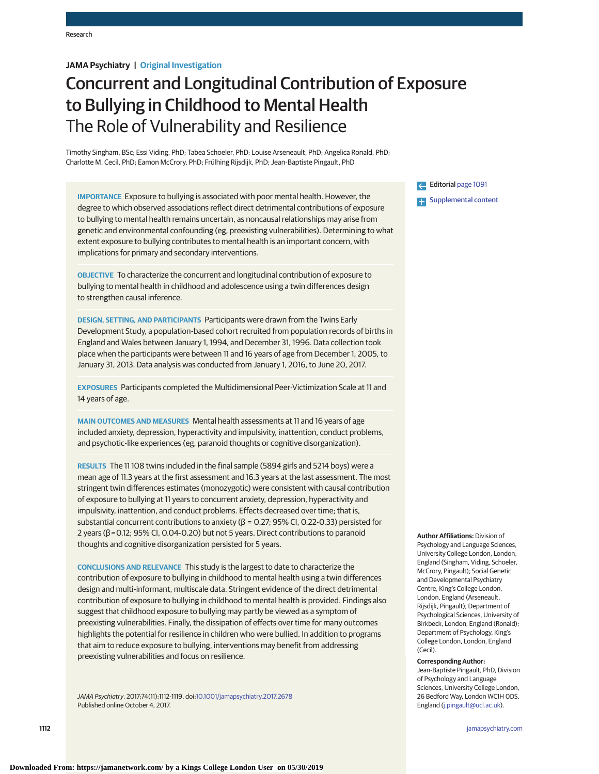# **JAMA Psychiatry | Original Investigation**

# Concurrent and Longitudinal Contribution of Exposure to Bullying in Childhood to Mental Health The Role of Vulnerability and Resilience

Timothy Singham, BSc; Essi Viding, PhD; Tabea Schoeler, PhD; Louise Arseneault, PhD; Angelica Ronald, PhD; Charlotte M. Cecil, PhD; Eamon McCrory, PhD; Frülhing Rijsdijk, PhD; Jean-Baptiste Pingault, PhD

**IMPORTANCE** Exposure to bullying is associated with poor mental health. However, the degree to which observed associations reflect direct detrimental contributions of exposure to bullying to mental health remains uncertain, as noncausal relationships may arise from genetic and environmental confounding (eg, preexisting vulnerabilities). Determining to what extent exposure to bullying contributes to mental health is an important concern, with implications for primary and secondary interventions.

**OBJECTIVE** To characterize the concurrent and longitudinal contribution of exposure to bullying to mental health in childhood and adolescence using a twin differences design to strengthen causal inference.

**DESIGN, SETTING, AND PARTICIPANTS** Participants were drawn from the Twins Early Development Study, a population-based cohort recruited from population records of births in England and Wales between January 1, 1994, and December 31, 1996. Data collection took place when the participants were between 11 and 16 years of age from December 1, 2005, to January 31, 2013. Data analysis was conducted from January 1, 2016, to June 20, 2017.

**EXPOSURES** Participants completed the Multidimensional Peer-Victimization Scale at 11 and 14 years of age.

**MAIN OUTCOMES AND MEASURES** Mental health assessments at 11 and 16 years of age included anxiety, depression, hyperactivity and impulsivity, inattention, conduct problems, and psychotic-like experiences (eg, paranoid thoughts or cognitive disorganization).

**RESULTS** The 11 108 twins included in the final sample (5894 girls and 5214 boys) were a mean age of 11.3 years at the first assessment and 16.3 years at the last assessment. The most stringent twin differences estimates (monozygotic) were consistent with causal contribution of exposure to bullying at 11 years to concurrent anxiety, depression, hyperactivity and impulsivity, inattention, and conduct problems. Effects decreased over time; that is, substantial concurrent contributions to anxiety ( $β = 0.27$ ; 95% CI, 0.22-0.33) persisted for 2 years (β=0.12; 95% CI, 0.04-0.20) but not 5 years. Direct contributions to paranoid thoughts and cognitive disorganization persisted for 5 years.

**CONCLUSIONS AND RELEVANCE** This study is the largest to date to characterize the contribution of exposure to bullying in childhood to mental health using a twin differences design and multi-informant, multiscale data. Stringent evidence of the direct detrimental contribution of exposure to bullying in childhood to mental health is provided. Findings also suggest that childhood exposure to bullying may partly be viewed as a symptom of preexisting vulnerabilities. Finally, the dissipation of effects over time for many outcomes highlights the potential for resilience in children who were bullied. In addition to programs that aim to reduce exposure to bullying, interventions may benefit from addressing preexisting vulnerabilities and focus on resilience.

JAMA Psychiatry. 2017;74(11):1112-1119. doi[:10.1001/jamapsychiatry.2017.2678](http://jama.jamanetwork.com/article.aspx?doi=10.1001/jamapsychiatry.2017.2678&utm_campaign=articlePDF%26utm_medium=articlePDFlink%26utm_source=articlePDF%26utm_content=jamapsychiatry.2017.2678) Published online October 4, 2017.

Editorial [page 1091](http://jama.jamanetwork.com/article.aspx?doi=10.1001/jamapsychiatry.2017.2523&utm_campaign=articlePDF%26utm_medium=articlePDFlink%26utm_source=articlePDF%26utm_content=jamapsychiatry.2017.2678) **Examplemental content** 

**Author Affiliations:** Division of Psychology and Language Sciences,

University College London, London, England (Singham, Viding, Schoeler, McCrory, Pingault); Social Genetic and Developmental Psychiatry Centre, King's College London, London, England (Arseneault, Rijsdijk, Pingault); Department of Psychological Sciences, University of Birkbeck, London, England (Ronald); Department of Psychology, King's College London, London, England (Cecil).

## **Corresponding Author:**

Jean-Baptiste Pingault, PhD, Division of Psychology and Language Sciences, University College London, 26 Bedford Way, London WC1H 0DS, England [\(j.pingault@ucl.ac.uk\)](mailto:j.pingault@ucl.ac.uk).

**1112 (Reprinted)** [jamapsychiatry.com](http://www.jamapsychiatry.com/?utm_campaign=articlePDF%26utm_medium=articlePDFlink%26utm_source=articlePDF%26utm_content=jamapsychiatry.2017.2678)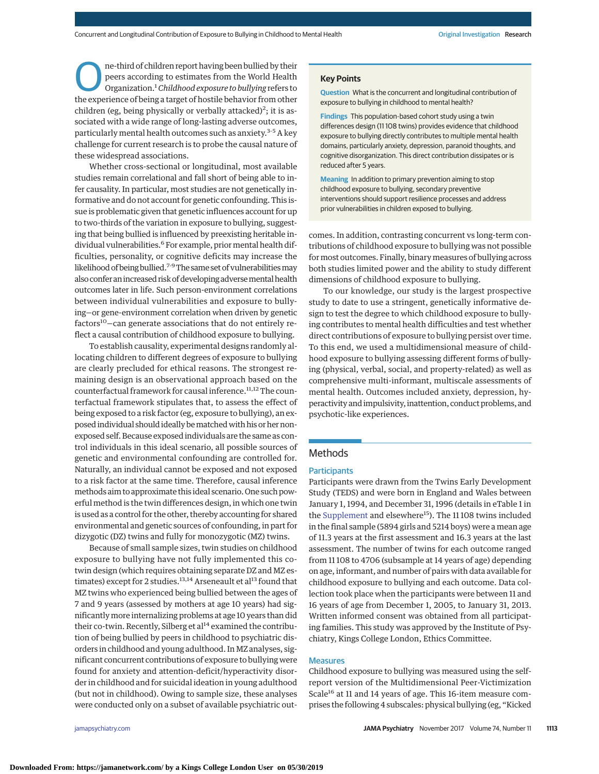**ORGANISH THE CONFORM THE REPORT OF CHILD CONFORM THE CONFORM OF PERSONAL PROPERTY OF PERSONAL PROPERTY OF PERSONAL PROPERTY OF PERSONAL PROPERTY OF PERSONAL PROPERTY OF PERSONAL PROPERTY OF PERSONAL PROPERTY OF PERSONAL P** peers according to estimates from the World Health the experience of being a target of hostile behavior from other children (eg, being physically or verbally attacked) $2$ ; it is associated with a wide range of long-lasting adverse outcomes, particularly mental health outcomes such as anxiety.3-5 A key challenge for current research is to probe the causal nature of these widespread associations.

Whether cross-sectional or longitudinal, most available studies remain correlational and fall short of being able to infer causality. In particular, most studies are not genetically informative and do not account for genetic confounding. This issue is problematic given that genetic influences account for up to two-thirds of the variation in exposure to bullying, suggesting that being bullied is influenced by preexisting heritable individual vulnerabilities.<sup>6</sup> For example, prior mental health difficulties, personality, or cognitive deficits may increase the likelihood of being bullied.<sup>7-9</sup> The same set of vulnerabilities may also confer an increased risk of developing adverse mental health outcomes later in life. Such person-environment correlations between individual vulnerabilities and exposure to bullying—or gene-environment correlation when driven by genetic factors<sup>10</sup>-can generate associations that do not entirely reflect a causal contribution of childhood exposure to bullying.

To establish causality, experimental designs randomly allocating children to different degrees of exposure to bullying are clearly precluded for ethical reasons. The strongest remaining design is an observational approach based on the counterfactual framework for causal inference.<sup>11,12</sup>The counterfactual framework stipulates that, to assess the effect of being exposed to a risk factor (eg, exposure to bullying), an exposed individual should ideally be matched with his or her nonexposed self. Because exposed individuals are the same as control individuals in this ideal scenario, all possible sources of genetic and environmental confounding are controlled for. Naturally, an individual cannot be exposed and not exposed to a risk factor at the same time. Therefore, causal inference methods aim to approximate this ideal scenario. One such powerful method is the twin differences design, in which one twin is used as a control for the other, thereby accounting for shared environmental and genetic sources of confounding, in part for dizygotic (DZ) twins and fully for monozygotic (MZ) twins.

Because of small sample sizes, twin studies on childhood exposure to bullying have not fully implemented this cotwin design (which requires obtaining separate DZ and MZ estimates) except for 2 studies.<sup>13,14</sup> Arseneault et al<sup>13</sup> found that MZ twins who experienced being bullied between the ages of 7 and 9 years (assessed by mothers at age 10 years) had significantly more internalizing problems at age 10 years than did their co-twin. Recently, Silberg et al<sup>14</sup> examined the contribution of being bullied by peers in childhood to psychiatric disorders in childhood and young adulthood. In MZ analyses, significant concurrent contributions of exposure to bullying were found for anxiety and attention-deficit/hyperactivity disorder in childhood and for suicidal ideation in young adulthood (but not in childhood). Owing to sample size, these analyses were conducted only on a subset of available psychiatric out-

## **Key Points**

**Question** What is the concurrent and longitudinal contribution of exposure to bullying in childhood to mental health?

**Findings** This population-based cohort study using a twin differences design (11 108 twins) provides evidence that childhood exposure to bullying directly contributes to multiple mental health domains, particularly anxiety, depression, paranoid thoughts, and cognitive disorganization. This direct contribution dissipates or is reduced after 5 years.

**Meaning** In addition to primary prevention aiming to stop childhood exposure to bullying, secondary preventive interventions should support resilience processes and address prior vulnerabilities in children exposed to bullying.

comes. In addition, contrasting concurrent vs long-term contributions of childhood exposure to bullying was not possible for most outcomes. Finally, binary measures of bullying across both studies limited power and the ability to study different dimensions of childhood exposure to bullying.

To our knowledge, our study is the largest prospective study to date to use a stringent, genetically informative design to test the degree to which childhood exposure to bullying contributes to mental health difficulties and test whether direct contributions of exposure to bullying persist over time. To this end, we used a multidimensional measure of childhood exposure to bullying assessing different forms of bullying (physical, verbal, social, and property-related) as well as comprehensive multi-informant, multiscale assessments of mental health. Outcomes included anxiety, depression, hyperactivity and impulsivity, inattention, conduct problems, and psychotic-like experiences.

# Methods

#### **Participants**

Participants were drawn from the Twins Early Development Study (TEDS) and were born in England and Wales between January 1, 1994, and December 31, 1996 (details in eTable 1 in the [Supplement](http://jama.jamanetwork.com/article.aspx?doi=10.1001/jamapsychiatry.2017.2678&utm_campaign=articlePDF%26utm_medium=articlePDFlink%26utm_source=articlePDF%26utm_content=jamapsychiatry.2017.2678) and elsewhere<sup>15</sup>). The 11108 twins included in the final sample (5894 girls and 5214 boys) were a mean age of 11.3 years at the first assessment and 16.3 years at the last assessment. The number of twins for each outcome ranged from 11 108 to 4706 (subsample at 14 years of age) depending on age, informant, and number of pairs with data available for childhood exposure to bullying and each outcome. Data collection took place when the participants were between 11 and 16 years of age from December 1, 2005, to January 31, 2013. Written informed consent was obtained from all participating families. This study was approved by the Institute of Psychiatry, Kings College London, Ethics Committee.

## **Measures**

Childhood exposure to bullying was measured using the selfreport version of the Multidimensional Peer-Victimization Scale<sup>16</sup> at 11 and 14 years of age. This 16-item measure comprises the following 4 subscales: physical bullying (eg, "Kicked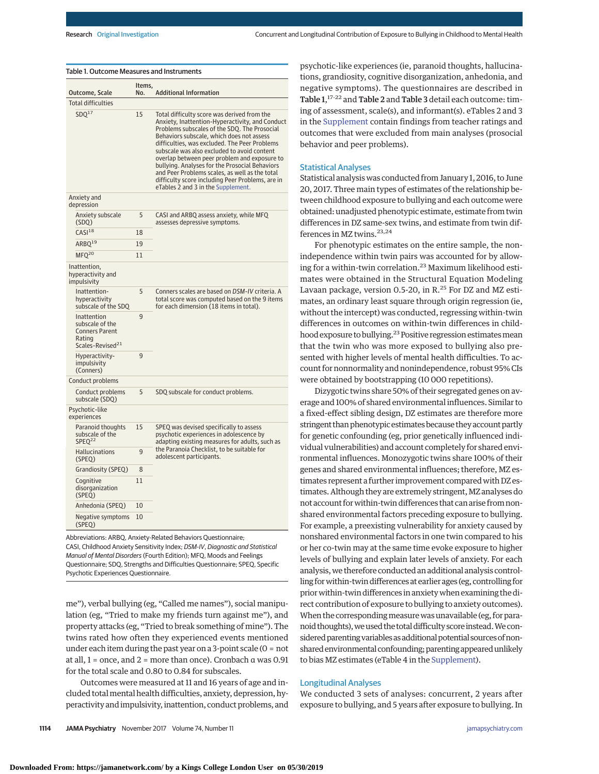|                                                                                                   | Items, |                                                                                                                                                                                                                                                                                                                                                                                                                                                                                                                                           |  |  |  |
|---------------------------------------------------------------------------------------------------|--------|-------------------------------------------------------------------------------------------------------------------------------------------------------------------------------------------------------------------------------------------------------------------------------------------------------------------------------------------------------------------------------------------------------------------------------------------------------------------------------------------------------------------------------------------|--|--|--|
| Outcome, Scale                                                                                    | No.    | <b>Additional Information</b>                                                                                                                                                                                                                                                                                                                                                                                                                                                                                                             |  |  |  |
| <b>Total difficulties</b>                                                                         |        |                                                                                                                                                                                                                                                                                                                                                                                                                                                                                                                                           |  |  |  |
| SDO <sup>17</sup>                                                                                 | 15     | Total difficulty score was derived from the<br>Anxiety, Inattention-Hyperactivity, and Conduct<br>Problems subscales of the SDQ. The Prosocial<br>Behaviors subscale, which does not assess<br>difficulties, was excluded. The Peer Problems<br>subscale was also excluded to avoid content<br>overlap between peer problem and exposure to<br>bullying. Analyses for the Prosocial Behaviors<br>and Peer Problems scales, as well as the total<br>difficulty score including Peer Problems, are in<br>eTables 2 and 3 in the Supplement. |  |  |  |
| Anxiety and<br>depression                                                                         |        |                                                                                                                                                                                                                                                                                                                                                                                                                                                                                                                                           |  |  |  |
| Anxiety subscale<br>(SDQ)                                                                         | 5      | CASI and ARBQ assess anxiety, while MFQ<br>assesses depressive symptoms.                                                                                                                                                                                                                                                                                                                                                                                                                                                                  |  |  |  |
| CASI <sup>18</sup>                                                                                | 18     |                                                                                                                                                                                                                                                                                                                                                                                                                                                                                                                                           |  |  |  |
| ARBQ <sup>19</sup>                                                                                | 19     |                                                                                                                                                                                                                                                                                                                                                                                                                                                                                                                                           |  |  |  |
| MFO <sup>20</sup>                                                                                 | 11     |                                                                                                                                                                                                                                                                                                                                                                                                                                                                                                                                           |  |  |  |
| Inattention,<br>hyperactivity and<br>impulsivity                                                  |        |                                                                                                                                                                                                                                                                                                                                                                                                                                                                                                                                           |  |  |  |
| Inattention-<br>hyperactivity<br>subscale of the SDQ                                              | 5      | Conners scales are based on DSM-IV criteria. A<br>total score was computed based on the 9 items<br>for each dimension (18 items in total).                                                                                                                                                                                                                                                                                                                                                                                                |  |  |  |
| Inattention<br>subscale of the<br><b>Conners Parent</b><br>Rating<br>Scales-Revised <sup>21</sup> | 9      |                                                                                                                                                                                                                                                                                                                                                                                                                                                                                                                                           |  |  |  |
| Hyperactivity-<br>impulsivity<br>(Conners)                                                        | 9      |                                                                                                                                                                                                                                                                                                                                                                                                                                                                                                                                           |  |  |  |
| Conduct problems                                                                                  |        |                                                                                                                                                                                                                                                                                                                                                                                                                                                                                                                                           |  |  |  |
| Conduct problems<br>subscale (SDQ)                                                                | 5      | SDQ subscale for conduct problems.                                                                                                                                                                                                                                                                                                                                                                                                                                                                                                        |  |  |  |
| Psychotic-like<br>experiences                                                                     |        |                                                                                                                                                                                                                                                                                                                                                                                                                                                                                                                                           |  |  |  |
| Paranoid thoughts<br>subscale of the<br>SPEO <sup>22</sup>                                        | 15     | SPEQ was devised specifically to assess<br>psychotic experiences in adolescence by<br>adapting existing measures for adults, such as                                                                                                                                                                                                                                                                                                                                                                                                      |  |  |  |
| <b>Hallucinations</b><br>(SPEQ)                                                                   | 9      | the Paranoia Checklist, to be suitable for<br>adolescent participants.                                                                                                                                                                                                                                                                                                                                                                                                                                                                    |  |  |  |
| Grandiosity (SPEQ)                                                                                | 8      |                                                                                                                                                                                                                                                                                                                                                                                                                                                                                                                                           |  |  |  |
| Cognitive<br>disorganization<br>(SPEQ)                                                            | 11     |                                                                                                                                                                                                                                                                                                                                                                                                                                                                                                                                           |  |  |  |
| Anhedonia (SPEQ)                                                                                  | 10     |                                                                                                                                                                                                                                                                                                                                                                                                                                                                                                                                           |  |  |  |
| Negative symptoms<br>(SPEQ)                                                                       | 10     |                                                                                                                                                                                                                                                                                                                                                                                                                                                                                                                                           |  |  |  |

Abbreviations: ARBQ, Anxiety-Related Behaviors Questionnaire; CASI, Childhood Anxiety Sensitivity Index; DSM-IV, Diagnostic and Statistical Manual of Mental Disorders (Fourth Edition); MFQ, Moods and Feelings Questionnaire; SDQ, Strengths and Difficulties Questionnaire; SPEQ, Specific Psychotic Experiences Questionnaire.

me"), verbal bullying (eg, "Called me names"), social manipulation (eg, "Tried to make my friends turn against me"), and property attacks (eg, "Tried to break something of mine"). The twins rated how often they experienced events mentioned under each item during the past year on a 3-point scale (0 = not at all,  $1 =$  once, and  $2 =$  more than once). Cronbach  $\alpha$  was 0.91 for the total scale and 0.80 to 0.84 for subscales.

Outcomes were measured at 11 and 16 years of age and included total mental health difficulties, anxiety, depression, hyperactivity and impulsivity, inattention, conduct problems, and psychotic-like experiences (ie, paranoid thoughts, hallucinations, grandiosity, cognitive disorganization, anhedonia, and negative symptoms). The questionnaires are described in Table 1,<sup>17-22</sup> and Table 2 and Table 3 detail each outcome: timing of assessment, scale(s), and informant(s). eTables 2 and 3 in the [Supplement](http://jama.jamanetwork.com/article.aspx?doi=10.1001/jamapsychiatry.2017.2678&utm_campaign=articlePDF%26utm_medium=articlePDFlink%26utm_source=articlePDF%26utm_content=jamapsychiatry.2017.2678) contain findings from teacher ratings and outcomes that were excluded from main analyses (prosocial behavior and peer problems).

## Statistical Analyses

Statistical analysis was conducted from January 1, 2016, to June 20, 2017. Three main types of estimates of the relationship between childhood exposure to bullying and each outcome were obtained: unadjusted phenotypic estimate, estimate from twin differences in DZ same-sex twins, and estimate from twin differences in MZ twins.<sup>23,24</sup>

For phenotypic estimates on the entire sample, the nonindependence within twin pairs was accounted for by allowing for a within-twin correlation.<sup>23</sup> Maximum likelihood estimates were obtained in the Structural Equation Modeling Lavaan package, version 0.5-20, in R.<sup>25</sup> For DZ and MZ estimates, an ordinary least square through origin regression (ie, without the intercept) was conducted, regressing within-twin differences in outcomes on within-twin differences in childhood exposure to bullying.<sup>23</sup> Positive regression estimates mean that the twin who was more exposed to bullying also presented with higher levels of mental health difficulties. To account for nonnormality and nonindependence, robust 95% CIs were obtained by bootstrapping (10 000 repetitions).

Dizygotic twins share 50% of their segregated genes on average and 100% of shared environmental influences. Similar to a fixed-effect sibling design, DZ estimates are therefore more stringent than phenotypic estimates because they account partly for genetic confounding (eg, prior genetically influenced individual vulnerabilities) and account completely for shared environmental influences. Monozygotic twins share 100% of their genes and shared environmental influences; therefore, MZ estimates represent a further improvement compared with DZ estimates. Although they are extremely stringent,MZ analyses do not account for within-twin differences that can arise from nonshared environmental factors preceding exposure to bullying. For example, a preexisting vulnerability for anxiety caused by nonshared environmental factors in one twin compared to his or her co-twin may at the same time evoke exposure to higher levels of bullying and explain later levels of anxiety. For each analysis,we therefore conducted an additional analysis controlling forwithin-twin differences at earlier ages (eg, controlling for prior within-twin differences in anxiety when examining the direct contribution of exposure to bullying to anxiety outcomes). When the corresponding measure was unavailable (eg, for paranoid thoughts), we used the total difficulty score instead. We considered parenting variables as additional potential sources of nonshared environmental confounding; parenting appeared unlikely to bias MZ estimates (eTable 4 in the [Supplement\)](http://jama.jamanetwork.com/article.aspx?doi=10.1001/jamapsychiatry.2017.2678&utm_campaign=articlePDF%26utm_medium=articlePDFlink%26utm_source=articlePDF%26utm_content=jamapsychiatry.2017.2678).

# Longitudinal Analyses

We conducted 3 sets of analyses: concurrent, 2 years after exposure to bullying, and 5 years after exposure to bullying. In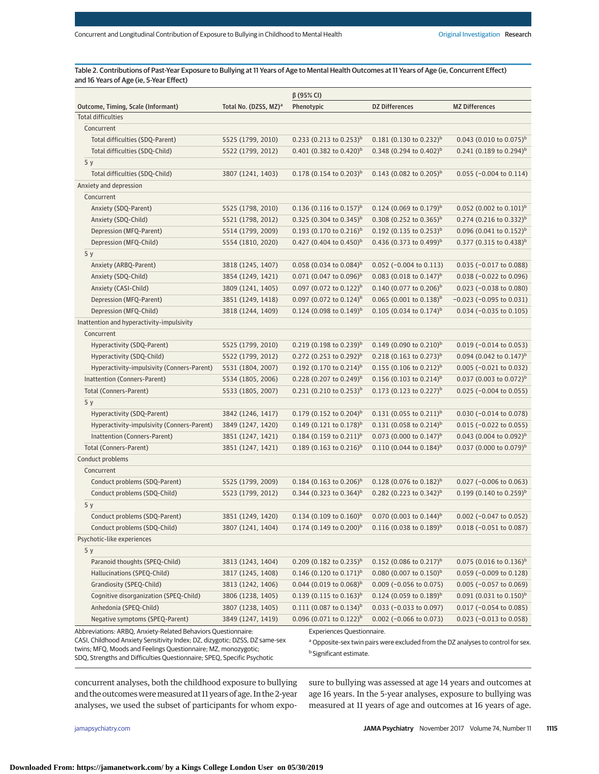Table 2. Contributions of Past-Year Exposure to Bullying at 11 Years of Age to Mental Health Outcomes at 11 Years of Age (ie, Concurrent Effect) and 16 Years of Age (ie, 5-Year Effect)

|                                                               |                                   | $\beta$ (95% CI)                                                                          |                                          |                                          |
|---------------------------------------------------------------|-----------------------------------|-------------------------------------------------------------------------------------------|------------------------------------------|------------------------------------------|
| Outcome, Timing, Scale (Informant)                            | Total No. (DZSS, MZ) <sup>a</sup> | Phenotypic                                                                                | <b>DZ Differences</b>                    | <b>MZ Differences</b>                    |
| <b>Total difficulties</b>                                     |                                   |                                                                                           |                                          |                                          |
| Concurrent                                                    |                                   |                                                                                           |                                          |                                          |
| Total difficulties (SDQ-Parent)                               | 5525 (1799, 2010)                 | 0.233 (0.213 to 0.253) <sup>b</sup>                                                       | $0.181$ (0.130 to 0.232) <sup>b</sup>    | $0.043$ (0.010 to 0.075) <sup>b</sup>    |
| Total difficulties (SDQ-Child)                                | 5522 (1799, 2012)                 | 0.401 (0.382 to 0.420) <sup>b</sup>                                                       | 0.348 (0.294 to 0.402) <sup>b</sup>      | $0.241$ (0.189 to 0.294) <sup>b</sup>    |
| 5 y                                                           |                                   |                                                                                           |                                          |                                          |
| Total difficulties (SDQ-Child)                                | 3807 (1241, 1403)                 | $0.178$ (0.154 to 0.203) <sup>b</sup>                                                     | $0.143$ (0.082 to 0.205) <sup>b</sup>    | $0.055$ (-0.004 to 0.114)                |
| Anxiety and depression                                        |                                   |                                                                                           |                                          |                                          |
| Concurrent                                                    |                                   |                                                                                           |                                          |                                          |
| Anxiety (SDQ-Parent)                                          | 5525 (1798, 2010)                 | $0.136$ (0.116 to 0.157) <sup>b</sup>                                                     | $0.124$ (0.069 to 0.179) <sup>b</sup>    | $0.052$ (0.002 to $0.101$ ) <sup>b</sup> |
| Anxiety (SDQ-Child)                                           | 5521 (1798, 2012)                 | 0.325 (0.304 to 0.345) <sup>b</sup>                                                       | 0.308 (0.252 to 0.365) <sup>b</sup>      | $0.274$ (0.216 to 0.332) <sup>b</sup>    |
| Depression (MFQ-Parent)                                       | 5514 (1799, 2009)                 | 0.193 (0.170 to 0.216) <sup>b</sup>                                                       | $0.192$ (0.135 to 0.253) <sup>b</sup>    | 0.096 (0.041 to 0.152) <sup>b</sup>      |
| Depression (MFQ-Child)                                        | 5554 (1810, 2020)                 | 0.427 (0.404 to 0.450) <sup>b</sup>                                                       | 0.436 (0.373 to 0.499) <sup>b</sup>      | 0.377 (0.315 to 0.438) <sup>b</sup>      |
| 5 y                                                           |                                   |                                                                                           |                                          |                                          |
| Anxiety (ARBQ-Parent)                                         | 3818 (1245, 1407)                 | $0.058$ (0.034 to 0.084) <sup>b</sup>                                                     | $0.052$ (-0.004 to 0.113)                | $0.035$ (-0.017 to 0.088)                |
| Anxiety (SDQ-Child)                                           | 3854 (1249, 1421)                 | $0.071$ (0.047 to 0.096) <sup>b</sup>                                                     | $0.083$ (0.018 to 0.147) <sup>b</sup>    | $0.038$ (-0.022 to 0.096)                |
| Anxiety (CASI-Child)                                          | 3809 (1241, 1405)                 | 0.097 (0.072 to 0.122) <sup>b</sup>                                                       | $0.140$ (0.077 to 0.206) <sup>b</sup>    | $0.023$ (-0.038 to 0.080)                |
| Depression (MFQ-Parent)                                       | 3851 (1249, 1418)                 | 0.097 (0.072 to 0.124) <sup>b</sup>                                                       | $0.065$ (0.001 to 0.138) <sup>b</sup>    | $-0.023$ ( $-0.095$ to $0.031$ )         |
| Depression (MFQ-Child)                                        | 3818 (1244, 1409)                 | $0.124$ (0.098 to 0.149) <sup>b</sup>                                                     | $0.105$ (0.034 to 0.174) <sup>b</sup>    | $0.034$ (-0.035 to 0.105)                |
| Inattention and hyperactivity-impulsivity                     |                                   |                                                                                           |                                          |                                          |
| Concurrent                                                    |                                   |                                                                                           |                                          |                                          |
| Hyperactivity (SDQ-Parent)                                    | 5525 (1799, 2010)                 | $0.219$ (0.198 to 0.239) <sup>b</sup>                                                     | $0.149$ (0.090 to 0.210) <sup>b</sup>    | $0.019$ (-0.014 to 0.053)                |
| Hyperactivity (SDQ-Child)                                     | 5522 (1799, 2012)                 | 0.272 (0.253 to 0.292) <sup>b</sup>                                                       | $0.218$ (0.163 to 0.273) <sup>b</sup>    | 0.094 (0.042 to 0.147) <sup>b</sup>      |
| Hyperactivity-impulsivity (Conners-Parent)                    | 5531 (1804, 2007)                 | 0.192 (0.170 to 0.214) <sup>b</sup>                                                       | $0.155$ (0.106 to 0.212) <sup>b</sup>    | $0.005$ (-0.021 to 0.032)                |
| Inattention (Conners-Parent)                                  | 5534 (1805, 2006)                 | $0.228$ (0.207 to 0.249) <sup>b</sup>                                                     | $0.156$ (0.103 to 0.214) <sup>b</sup>    | 0.037 (0.003 to 0.072) <sup>b</sup>      |
| Total (Conners-Parent)                                        | 5533 (1805, 2007)                 | $0.231$ (0.210 to 0.253) <sup>b</sup>                                                     | 0.173 (0.123 to 0.227) <sup>b</sup>      | $0.025$ (-0.004 to 0.055)                |
| 5 y                                                           |                                   |                                                                                           |                                          |                                          |
| Hyperactivity (SDQ-Parent)                                    | 3842 (1246, 1417)                 | $0.179$ (0.152 to 0.204) <sup>b</sup>                                                     | $0.131$ (0.055 to 0.211) <sup>b</sup>    | 0.030 (-0.014 to 0.078)                  |
| Hyperactivity-impulsivity (Conners-Parent)                    | 3849 (1247, 1420)                 | $0.149$ (0.121 to 0.178) <sup>b</sup>                                                     | $0.131$ (0.058 to 0.214) <sup>b</sup>    | $0.015$ (-0.022 to 0.055)                |
| Inattention (Conners-Parent)                                  | 3851 (1247, 1421)                 | $0.184$ (0.159 to 0.211) <sup>b</sup>                                                     | 0.073 (0.000 to $0.147$ ) <sup>b</sup>   | 0.043 (0.004 to 0.092) <sup>b</sup>      |
| Total (Conners-Parent)                                        | 3851 (1247, 1421)                 | $0.189$ (0.163 to 0.216) <sup>b</sup>                                                     | $0.110$ (0.044 to 0.184) <sup>b</sup>    | $0.037$ (0.000 to 0.079) <sup>b</sup>    |
| Conduct problems                                              |                                   |                                                                                           |                                          |                                          |
| Concurrent                                                    |                                   |                                                                                           |                                          |                                          |
| Conduct problems (SDQ-Parent)                                 | 5525 (1799, 2009)                 | $0.184$ (0.163 to 0.206) <sup>b</sup>                                                     | $0.128$ (0.076 to 0.182) <sup>b</sup>    | $0.027$ (-0.006 to 0.063)                |
| Conduct problems (SDQ-Child)                                  | 5523 (1799, 2012)                 | 0.344 (0.323 to 0.364) <sup>b</sup>                                                       | 0.282 (0.223 to 0.342) <sup>b</sup>      | $0.199$ (0.140 to 0.259) <sup>b</sup>    |
| 5 y                                                           |                                   |                                                                                           |                                          |                                          |
| Conduct problems (SDQ-Parent)                                 | 3851 (1249, 1420)                 | $0.134$ (0.109 to 0.160) <sup>b</sup>                                                     | 0.070 (0.003 to 0.144) <sup>b</sup>      | $0.002$ (-0.047 to 0.052)                |
| Conduct problems (SDQ-Child)                                  |                                   | 3807 (1241, 1404) 0.174 (0.149 to 0.200) <sup>b</sup> 0.116 (0.038 to 0.189) <sup>b</sup> |                                          | $0.018 (-0.051 to 0.087)$                |
| Psychotic-like experiences                                    |                                   |                                                                                           |                                          |                                          |
| 5 y                                                           |                                   |                                                                                           |                                          |                                          |
| Paranoid thoughts (SPEQ-Child)                                | 3813 (1243, 1404)                 | 0.209 (0.182 to 0.235) <sup>b</sup>                                                       | $0.152$ (0.086 to 0.217) <sup>b</sup>    | $0.075$ (0.016 to 0.136) <sup>b</sup>    |
| Hallucinations (SPEQ-Child)                                   | 3817 (1245, 1408)                 | $0.146$ (0.120 to 0.171) <sup>b</sup>                                                     | $0.080$ (0.007 to $0.150$ ) <sup>b</sup> | 0.059 (-0.009 to 0.128)                  |
| Grandiosity (SPEQ-Child)                                      | 3813 (1242, 1406)                 | $0.044$ (0.019 to 0.068) <sup>b</sup>                                                     | $0.009$ (-0.056 to 0.075)                | $0.005$ (-0.057 to 0.069)                |
| Cognitive disorganization (SPEQ-Child)                        | 3806 (1238, 1405)                 | $0.139$ (0.115 to 0.163) <sup>b</sup>                                                     | $0.124$ (0.059 to 0.189) <sup>b</sup>    | $0.091$ (0.031 to 0.150) <sup>b</sup>    |
| Anhedonia (SPEQ-Child)                                        | 3807 (1238, 1405)                 | $0.111$ (0.087 to 0.134) <sup>b</sup>                                                     | $0.033 (-0.033$ to $0.097)$              | $0.017$ (-0.054 to 0.085)                |
| Negative symptoms (SPEQ-Parent)                               | 3849 (1247, 1419)                 | 0.096 (0.071 to 0.122) <sup>b</sup>                                                       | $0.002$ (-0.066 to 0.073)                | $0.023$ (-0.013 to 0.058)                |
| Abbreviations: ARBQ, Anxiety-Related Behaviors Questionnaire: |                                   | Experiences Questionnaire.                                                                |                                          |                                          |

CASI, Childhood Anxiety Sensitivity Index; DZ, dizygotic; DZSS, DZ same-sex twins; MFQ, Moods and Feelings Questionnaire; MZ, monozygotic; SDQ, Strengths and Difficulties Questionnaire; SPEQ, Specific Psychotic

<sup>a</sup> Opposite-sex twin pairs were excluded from the DZ analyses to control for sex. **b** Significant estimate.

concurrent analyses, both the childhood exposure to bullying and the outcomes were measured at 11 years of age. In the 2-year analyses, we used the subset of participants for whom expo-

sure to bullying was assessed at age 14 years and outcomes at age 16 years. In the 5-year analyses, exposure to bullying was measured at 11 years of age and outcomes at 16 years of age.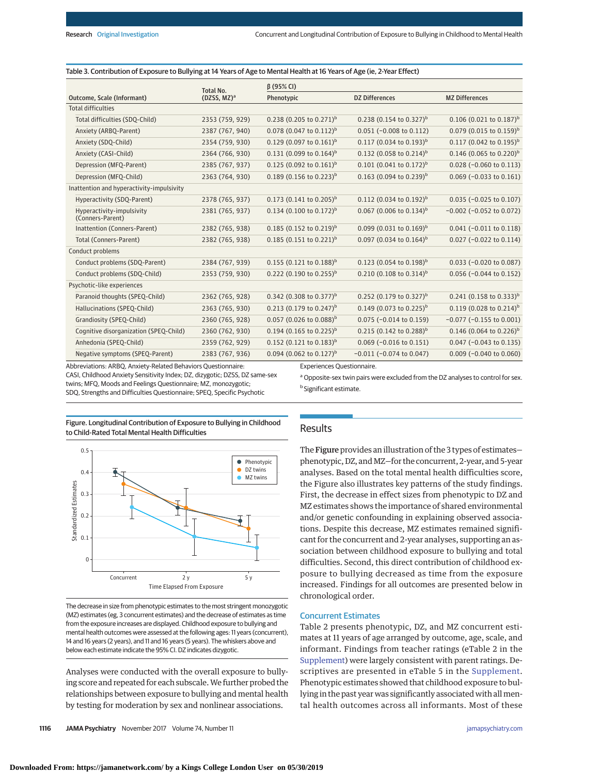| Table 3. Contribution of Exposure to Bullying at 14 Years of Age to Mental Health at 16 Years of Age (ie, 2-Year Effect) |  |  |
|--------------------------------------------------------------------------------------------------------------------------|--|--|
|--------------------------------------------------------------------------------------------------------------------------|--|--|

|                                               | Total No.       | $\beta$ (95% CI)                         |                                       |                                       |
|-----------------------------------------------|-----------------|------------------------------------------|---------------------------------------|---------------------------------------|
| Outcome, Scale (Informant)                    | $(DZSS, MZ)^a$  | Phenotypic                               | <b>DZ Differences</b>                 | <b>MZ Differences</b>                 |
| <b>Total difficulties</b>                     |                 |                                          |                                       |                                       |
| Total difficulties (SDQ-Child)                | 2353 (759, 929) | 0.238 (0.205 to 0.271) <sup>b</sup>      | $0.238$ (0.154 to 0.327) <sup>b</sup> | $0.106$ (0.021 to 0.187) <sup>b</sup> |
| Anxiety (ARBQ-Parent)                         | 2387 (767, 940) | $0.078$ (0.047 to 0.112) <sup>b</sup>    | $0.051$ (-0.008 to 0.112)             | $0.079$ (0.015 to 0.159) <sup>b</sup> |
| Anxiety (SDQ-Child)                           | 2354 (759, 930) | $0.129$ (0.097 to 0.161) <sup>b</sup>    | $0.117$ (0.034 to 0.193) <sup>b</sup> | $0.117$ (0.042 to 0.195) <sup>b</sup> |
| Anxiety (CASI-Child)                          | 2364 (766, 930) | $0.131$ (0.099 to 0.164) <sup>b</sup>    | 0.132 (0.058 to 0.214) <sup>b</sup>   | $0.146$ (0.065 to 0.220) <sup>b</sup> |
| Depression (MFQ-Parent)                       | 2385 (767, 937) | $0.125$ (0.092 to $0.161$ ) <sup>b</sup> | $0.101$ (0.041 to 0.172) <sup>b</sup> | $0.028$ (-0.060 to 0.113)             |
| Depression (MFQ-Child)                        | 2363 (764, 930) | $0.189$ (0.156 to 0.223) <sup>b</sup>    | $0.163$ (0.094 to 0.239) <sup>b</sup> | $0.069$ (-0.033 to 0.161)             |
| Inattention and hyperactivity-impulsivity     |                 |                                          |                                       |                                       |
| Hyperactivity (SDQ-Parent)                    | 2378 (765, 937) | $0.173$ (0.141 to 0.205) <sup>b</sup>    | $0.112$ (0.034 to 0.192) <sup>b</sup> | $0.035$ (-0.025 to 0.107)             |
| Hyperactivity-impulsivity<br>(Conners-Parent) | 2381 (765, 937) | $0.134$ (0.100 to 0.172) <sup>b</sup>    | $0.067$ (0.006 to 0.134) <sup>b</sup> | $-0.002$ ( $-0.052$ to $0.072$ )      |
| Inattention (Conners-Parent)                  | 2382 (765, 938) | $0.185$ (0.152 to 0.219) <sup>b</sup>    | 0.099 (0.031 to 0.169) <sup>b</sup>   | $0.041$ (-0.011 to 0.118)             |
| Total (Conners-Parent)                        | 2382 (765, 938) | $0.185$ (0.151 to 0.221) <sup>b</sup>    | $0.097$ (0.034 to 0.164) <sup>b</sup> | $0.027$ (-0.022 to 0.114)             |
| Conduct problems                              |                 |                                          |                                       |                                       |
| Conduct problems (SDQ-Parent)                 | 2384 (767, 939) | $0.155$ (0.121 to 0.188) <sup>b</sup>    | $0.123$ (0.054 to 0.198) <sup>b</sup> | $0.033 (-0.020 to 0.087)$             |
| Conduct problems (SDQ-Child)                  | 2353 (759, 930) | 0.222 (0.190 to 0.255) <sup>b</sup>      | $0.210$ (0.108 to 0.314) <sup>b</sup> | $0.056$ (-0.044 to 0.152)             |
| Psychotic-like experiences                    |                 |                                          |                                       |                                       |
| Paranoid thoughts (SPEQ-Child)                | 2362 (765, 928) | $0.342$ (0.308 to 0.377) <sup>b</sup>    | $0.252$ (0.179 to 0.327) <sup>b</sup> | $0.241$ (0.158 to 0.333) <sup>b</sup> |
| Hallucinations (SPEQ-Child)                   | 2363 (765, 930) | 0.213 (0.179 to 0.247) <sup>b</sup>      | $0.149$ (0.073 to 0.225) <sup>b</sup> | $0.119$ (0.028 to 0.214) <sup>b</sup> |
| Grandiosity (SPEQ-Child)                      | 2360 (765, 928) | $0.057$ (0.026 to 0.088) <sup>b</sup>    | $0.075$ (-0.014 to 0.159)             | $-0.077$ ( $-0.155$ to $0.001$ )      |
| Cognitive disorganization (SPEQ-Child)        | 2360 (762, 930) | $0.194$ (0.165 to 0.225) <sup>b</sup>    | $0.215$ (0.142 to 0.288) <sup>b</sup> | $0.146$ (0.064 to 0.226) <sup>b</sup> |
| Anhedonia (SPEQ-Child)                        | 2359 (762, 929) | $0.152$ (0.121 to 0.183) <sup>b</sup>    | $0.069$ (-0.016 to 0.151)             | $0.047$ (-0.043 to 0.135)             |
| Negative symptoms (SPEQ-Parent)               | 2383 (767, 936) | $0.094$ (0.062 to 0.127) <sup>b</sup>    | $-0.011$ ( $-0.074$ to $0.047$ )      | $0.009$ (-0.040 to 0.060)             |

Abbreviations: ARBQ, Anxiety-Related Behaviors Questionnaire:

CASI, Childhood Anxiety Sensitivity Index; DZ, dizygotic; DZSS, DZ same-sex twins; MFQ, Moods and Feelings Questionnaire; MZ, monozygotic; SDQ, Strengths and Difficulties Questionnaire; SPEQ, Specific Psychotic

Experiences Questionnaire.

<sup>a</sup> Opposite-sex twin pairs were excluded from the DZ analyses to control for sex. **b** Significant estimate.

Figure. Longitudinal Contribution of Exposure to Bullying in Childhood to Child-Rated Total Mental Health Difficulties



The decrease in size from phenotypic estimates to the most stringent monozygotic (MZ) estimates (eg, 3 concurrent estimates) and the decrease of estimates as time from the exposure increases are displayed. Childhood exposure to bullying and mental health outcomes were assessed at the following ages: 11 years (concurrent), 14 and 16 years (2 years), and 11 and 16 years (5 years). The whiskers above and below each estimate indicate the 95% CI. DZ indicates dizygotic.

Analyses were conducted with the overall exposure to bullying score and repeated for each subscale. We further probed the relationships between exposure to bullying and mental health by testing for moderation by sex and nonlinear associations.

# **Results**

The Figure provides an illustration of the 3 types of estimatesphenotypic, DZ, and MZ-for the concurrent, 2-year, and 5-year analyses. Based on the total mental health difficulties score, the Figure also illustrates key patterns of the study findings. First, the decrease in effect sizes from phenotypic to DZ and MZ estimates shows the importance of shared environmental and/or genetic confounding in explaining observed associations. Despite this decrease, MZ estimates remained significant for the concurrent and 2-year analyses, supporting an association between childhood exposure to bullying and total difficulties. Second, this direct contribution of childhood exposure to bullying decreased as time from the exposure increased. Findings for all outcomes are presented below in chronological order.

#### Concurrent Estimates

Table 2 presents phenotypic, DZ, and MZ concurrent estimates at 11 years of age arranged by outcome, age, scale, and informant. Findings from teacher ratings (eTable 2 in the [Supplement\)](http://jama.jamanetwork.com/article.aspx?doi=10.1001/jamapsychiatry.2017.2678&utm_campaign=articlePDF%26utm_medium=articlePDFlink%26utm_source=articlePDF%26utm_content=jamapsychiatry.2017.2678) were largely consistent with parent ratings. Descriptives are presented in eTable 5 in the [Supplement.](http://jama.jamanetwork.com/article.aspx?doi=10.1001/jamapsychiatry.2017.2678&utm_campaign=articlePDF%26utm_medium=articlePDFlink%26utm_source=articlePDF%26utm_content=jamapsychiatry.2017.2678) Phenotypic estimates showed that childhood exposure to bullying in the past year was significantly associated with allmental health outcomes across all informants. Most of these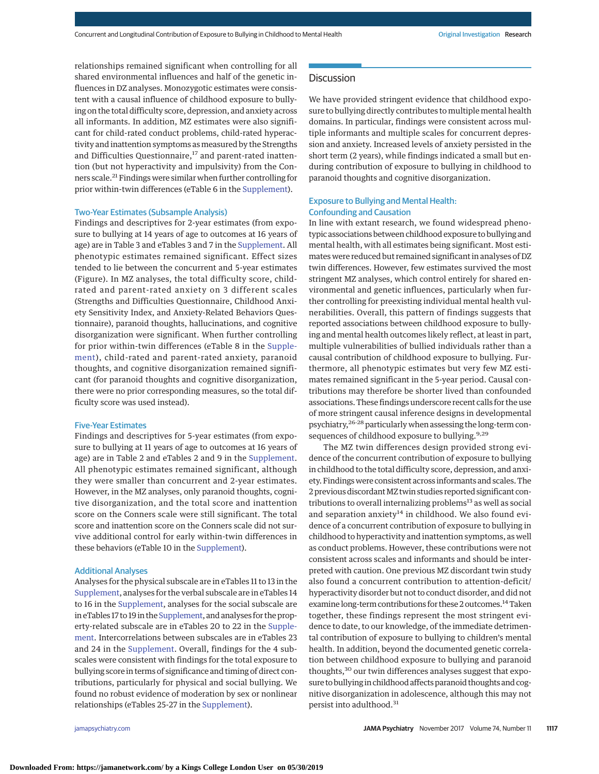relationships remained significant when controlling for all shared environmental influences and half of the genetic influences in DZ analyses. Monozygotic estimates were consistent with a causal influence of childhood exposure to bullying on the total difficulty score, depression, and anxiety across all informants. In addition, MZ estimates were also significant for child-rated conduct problems, child-rated hyperactivity and inattention symptoms as measured by the Strengths and Difficulties Questionnaire,<sup>17</sup> and parent-rated inattention (but not hyperactivity and impulsivity) from the Conners scale.<sup>21</sup> Findings were similar when further controlling for prior within-twin differences (eTable 6 in the [Supplement\)](http://jama.jamanetwork.com/article.aspx?doi=10.1001/jamapsychiatry.2017.2678&utm_campaign=articlePDF%26utm_medium=articlePDFlink%26utm_source=articlePDF%26utm_content=jamapsychiatry.2017.2678).

## Two-Year Estimates (Subsample Analysis)

Findings and descriptives for 2-year estimates (from exposure to bullying at 14 years of age to outcomes at 16 years of age) are in Table 3 and eTables 3 and 7 in the [Supplement.](http://jama.jamanetwork.com/article.aspx?doi=10.1001/jamapsychiatry.2017.2678&utm_campaign=articlePDF%26utm_medium=articlePDFlink%26utm_source=articlePDF%26utm_content=jamapsychiatry.2017.2678) All phenotypic estimates remained significant. Effect sizes tended to lie between the concurrent and 5-year estimates (Figure). In MZ analyses, the total difficulty score, childrated and parent-rated anxiety on 3 different scales (Strengths and Difficulties Questionnaire, Childhood Anxiety Sensitivity Index, and Anxiety-Related Behaviors Questionnaire), paranoid thoughts, hallucinations, and cognitive disorganization were significant. When further controlling for prior within-twin differences (eTable 8 in the [Supple](http://jama.jamanetwork.com/article.aspx?doi=10.1001/jamapsychiatry.2017.2678&utm_campaign=articlePDF%26utm_medium=articlePDFlink%26utm_source=articlePDF%26utm_content=jamapsychiatry.2017.2678)[ment\)](http://jama.jamanetwork.com/article.aspx?doi=10.1001/jamapsychiatry.2017.2678&utm_campaign=articlePDF%26utm_medium=articlePDFlink%26utm_source=articlePDF%26utm_content=jamapsychiatry.2017.2678), child-rated and parent-rated anxiety, paranoid thoughts, and cognitive disorganization remained significant (for paranoid thoughts and cognitive disorganization, there were no prior corresponding measures, so the total difficulty score was used instead).

#### Five-Year Estimates

Findings and descriptives for 5-year estimates (from exposure to bullying at 11 years of age to outcomes at 16 years of age) are in Table 2 and eTables 2 and 9 in the [Supplement.](http://jama.jamanetwork.com/article.aspx?doi=10.1001/jamapsychiatry.2017.2678&utm_campaign=articlePDF%26utm_medium=articlePDFlink%26utm_source=articlePDF%26utm_content=jamapsychiatry.2017.2678) All phenotypic estimates remained significant, although they were smaller than concurrent and 2-year estimates. However, in the MZ analyses, only paranoid thoughts, cognitive disorganization, and the total score and inattention score on the Conners scale were still significant. The total score and inattention score on the Conners scale did not survive additional control for early within-twin differences in these behaviors (eTable 10 in the [Supplement\)](http://jama.jamanetwork.com/article.aspx?doi=10.1001/jamapsychiatry.2017.2678&utm_campaign=articlePDF%26utm_medium=articlePDFlink%26utm_source=articlePDF%26utm_content=jamapsychiatry.2017.2678).

## Additional Analyses

Analyses for the physical subscale are in eTables 11 to 13 in the [Supplement,](http://jama.jamanetwork.com/article.aspx?doi=10.1001/jamapsychiatry.2017.2678&utm_campaign=articlePDF%26utm_medium=articlePDFlink%26utm_source=articlePDF%26utm_content=jamapsychiatry.2017.2678) analyses for the verbal subscale are in eTables 14 to 16 in the [Supplement,](http://jama.jamanetwork.com/article.aspx?doi=10.1001/jamapsychiatry.2017.2678&utm_campaign=articlePDF%26utm_medium=articlePDFlink%26utm_source=articlePDF%26utm_content=jamapsychiatry.2017.2678) analyses for the social subscale are in eTables 17 to 19 in the [Supplement,](http://jama.jamanetwork.com/article.aspx?doi=10.1001/jamapsychiatry.2017.2678&utm_campaign=articlePDF%26utm_medium=articlePDFlink%26utm_source=articlePDF%26utm_content=jamapsychiatry.2017.2678) and analyses for the property-related subscale are in eTables 20 to 22 in the [Supple](http://jama.jamanetwork.com/article.aspx?doi=10.1001/jamapsychiatry.2017.2678&utm_campaign=articlePDF%26utm_medium=articlePDFlink%26utm_source=articlePDF%26utm_content=jamapsychiatry.2017.2678)[ment.](http://jama.jamanetwork.com/article.aspx?doi=10.1001/jamapsychiatry.2017.2678&utm_campaign=articlePDF%26utm_medium=articlePDFlink%26utm_source=articlePDF%26utm_content=jamapsychiatry.2017.2678) Intercorrelations between subscales are in eTables 23 and 24 in the [Supplement.](http://jama.jamanetwork.com/article.aspx?doi=10.1001/jamapsychiatry.2017.2678&utm_campaign=articlePDF%26utm_medium=articlePDFlink%26utm_source=articlePDF%26utm_content=jamapsychiatry.2017.2678) Overall, findings for the 4 subscales were consistent with findings for the total exposure to bullying score in terms of significance and timing of direct contributions, particularly for physical and social bullying. We found no robust evidence of moderation by sex or nonlinear relationships (eTables 25-27 in the [Supplement\)](http://jama.jamanetwork.com/article.aspx?doi=10.1001/jamapsychiatry.2017.2678&utm_campaign=articlePDF%26utm_medium=articlePDFlink%26utm_source=articlePDF%26utm_content=jamapsychiatry.2017.2678).

# Discussion

We have provided stringent evidence that childhood exposure to bullying directly contributes to multiple mental health domains. In particular, findings were consistent across multiple informants and multiple scales for concurrent depression and anxiety. Increased levels of anxiety persisted in the short term (2 years), while findings indicated a small but enduring contribution of exposure to bullying in childhood to paranoid thoughts and cognitive disorganization.

# Exposure to Bullying and Mental Health: Confounding and Causation

In line with extant research, we found widespread phenotypic associations between childhood exposure to bullying and mental health, with all estimates being significant. Most estimates were reduced but remained significant in analyses of DZ twin differences. However, few estimates survived the most stringent MZ analyses, which control entirely for shared environmental and genetic influences, particularly when further controlling for preexisting individual mental health vulnerabilities. Overall, this pattern of findings suggests that reported associations between childhood exposure to bullying and mental health outcomes likely reflect, at least in part, multiple vulnerabilities of bullied individuals rather than a causal contribution of childhood exposure to bullying. Furthermore, all phenotypic estimates but very few MZ estimates remained significant in the 5-year period. Causal contributions may therefore be shorter lived than confounded associations. These findings underscore recent calls for the use of more stringent causal inference designs in developmental psychiatry,<sup>26-28</sup> particularly when assessing the long-term consequences of childhood exposure to bullying.<sup>9,29</sup>

The MZ twin differences design provided strong evidence of the concurrent contribution of exposure to bullying in childhood to the total difficulty score, depression, and anxiety. Findings were consistent across informants and scales. The 2 previous discordant MZ twin studies reported significant contributions to overall internalizing problems $^{13}$  as well as social and separation anxiety<sup>14</sup> in childhood. We also found evidence of a concurrent contribution of exposure to bullying in childhood to hyperactivity and inattention symptoms, as well as conduct problems. However, these contributions were not consistent across scales and informants and should be interpreted with caution. One previous MZ discordant twin study also found a concurrent contribution to attention-deficit/ hyperactivity disorder but not to conduct disorder, and did not examine long-term contributions for these 2 outcomes.<sup>14</sup> Taken together, these findings represent the most stringent evidence to date, to our knowledge, of the immediate detrimental contribution of exposure to bullying to children's mental health. In addition, beyond the documented genetic correlation between childhood exposure to bullying and paranoid thoughts,<sup>30</sup> our twin differences analyses suggest that exposure to bullying in childhood affects paranoid thoughts and cognitive disorganization in adolescence, although this may not persist into adulthood.<sup>31</sup>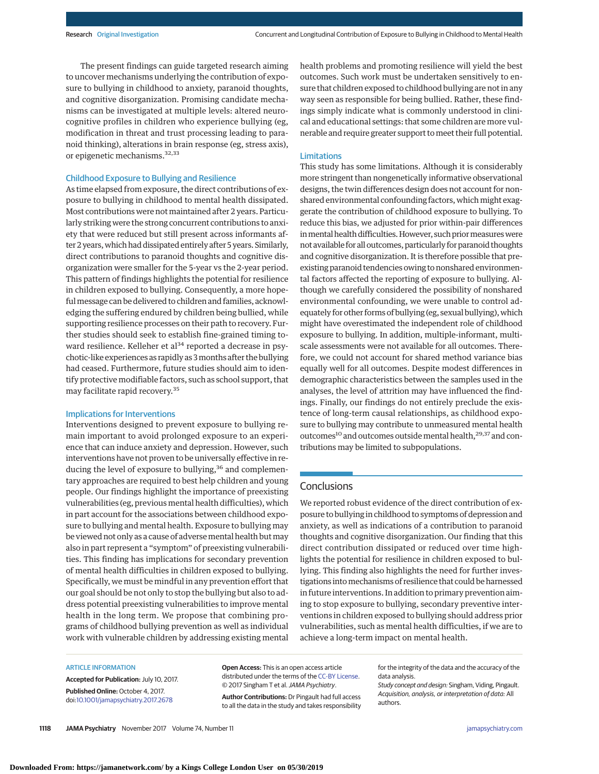The present findings can guide targeted research aiming to uncover mechanisms underlying the contribution of exposure to bullying in childhood to anxiety, paranoid thoughts, and cognitive disorganization. Promising candidate mechanisms can be investigated at multiple levels: altered neurocognitive profiles in children who experience bullying (eg, modification in threat and trust processing leading to paranoid thinking), alterations in brain response (eg, stress axis), or epigenetic mechanisms.<sup>32,33</sup>

# Childhood Exposure to Bullying and Resilience

As time elapsed from exposure, the direct contributions of exposure to bullying in childhood to mental health dissipated. Most contributions were not maintained after 2 years. Particularly striking were the strong concurrent contributions to anxiety that were reduced but still present across informants after 2 years, which had dissipated entirely after 5 years. Similarly, direct contributions to paranoid thoughts and cognitive disorganization were smaller for the 5-year vs the 2-year period. This pattern of findings highlights the potential for resilience in children exposed to bullying. Consequently, a more hopeful message can be delivered to children and families, acknowledging the suffering endured by children being bullied, while supporting resilience processes on their path to recovery. Further studies should seek to establish fine-grained timing toward resilience. Kelleher et al<sup>34</sup> reported a decrease in psychotic-like experiences as rapidly as 3months after the bullying had ceased. Furthermore, future studies should aim to identify protective modifiable factors, such as school support, that may facilitate rapid recovery.<sup>35</sup>

#### Implications for Interventions

Interventions designed to prevent exposure to bullying remain important to avoid prolonged exposure to an experience that can induce anxiety and depression. However, such interventions have not proven to be universally effective in reducing the level of exposure to bullying,<sup>36</sup> and complementary approaches are required to best help children and young people. Our findings highlight the importance of preexisting vulnerabilities (eg, previous mental health difficulties), which in part account for the associations between childhood exposure to bullying and mental health. Exposure to bullying may be viewed not only as a cause of adverse mental health but may also in part represent a "symptom" of preexisting vulnerabilities. This finding has implications for secondary prevention of mental health difficulties in children exposed to bullying. Specifically, we must be mindful in any prevention effort that our goal should be not only to stop the bullying but also to address potential preexisting vulnerabilities to improve mental health in the long term. We propose that combining programs of childhood bullying prevention as well as individual work with vulnerable children by addressing existing mental

health problems and promoting resilience will yield the best outcomes. Such work must be undertaken sensitively to ensure that children exposed to childhood bullying are not in any way seen as responsible for being bullied. Rather, these findings simply indicate what is commonly understood in clinical and educational settings: that some children are more vulnerable and require greater support tomeet their full potential.

## Limitations

This study has some limitations. Although it is considerably more stringent than nongenetically informative observational designs, the twin differences design does not account for nonshared environmental confounding factors, which might exaggerate the contribution of childhood exposure to bullying. To reduce this bias, we adjusted for prior within-pair differences in mental health difficulties. However, such prior measures were not available for all outcomes, particularly for paranoid thoughts and cognitive disorganization. It is therefore possible that preexisting paranoid tendencies owing to nonshared environmental factors affected the reporting of exposure to bullying. Although we carefully considered the possibility of nonshared environmental confounding, we were unable to control adequately for other forms of bullying (eg, sexual bullying), which might have overestimated the independent role of childhood exposure to bullying. In addition, multiple-informant, multiscale assessments were not available for all outcomes. Therefore, we could not account for shared method variance bias equally well for all outcomes. Despite modest differences in demographic characteristics between the samples used in the analyses, the level of attrition may have influenced the findings. Finally, our findings do not entirely preclude the existence of long-term causal relationships, as childhood exposure to bullying may contribute to unmeasured mental health outcomes<sup>10</sup> and outcomes outside mental health,<sup>29,37</sup> and contributions may be limited to subpopulations.

# **Conclusions**

We reported robust evidence of the direct contribution of exposure to bullying in childhood to symptoms of depression and anxiety, as well as indications of a contribution to paranoid thoughts and cognitive disorganization. Our finding that this direct contribution dissipated or reduced over time highlights the potential for resilience in children exposed to bullying. This finding also highlights the need for further investigations intomechanisms of resilience that could be harnessed in future interventions. In addition to primary prevention aiming to stop exposure to bullying, secondary preventive interventions in children exposed to bullying should address prior vulnerabilities, such as mental health difficulties, if we are to achieve a long-term impact on mental health.

#### ARTICLE INFORMATION

**Accepted for Publication:** July 10, 2017. **Published Online:** October 4, 2017. doi[:10.1001/jamapsychiatry.2017.2678](http://jama.jamanetwork.com/article.aspx?doi=10.1001/jamapsychiatry.2017.2678&utm_campaign=articlePDF%26utm_medium=articlePDFlink%26utm_source=articlePDF%26utm_content=jamapsychiatry.2017.2678)

**Open Access:** This is an open access article distributed under the terms of the [CC-BY License.](http://jamanetwork.com/journals/jamapsychiatry/pages/instructions-for-authors#SecOpenAccess/?utm_campaign=articlePDF%26utm_medium=articlePDFlink%26utm_source=articlePDF%26utm_content=jamapsychiatry.2017.2678) © 2017 Singham T et al.JAMA Psychiatry.

**Author Contributions:** Dr Pingault had full access to all the data in the study and takes responsibility for the integrity of the data and the accuracy of the data analysis.

Study concept and design: Singham, Viding, Pingault. Acquisition, analysis, or interpretation of data: All authors.